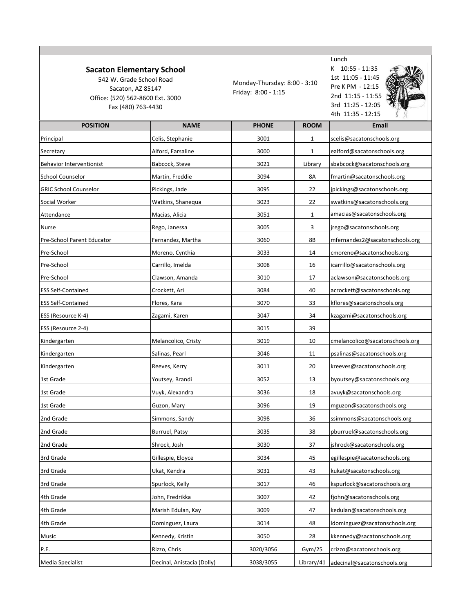## **Sacaton Elementary School**

542 W. Grade School Road Sacaton, AZ 85147 Office: (520) 562-8600 Ext. 3000 Fax (480) 763-4430

Monday-Thursday: 8:00 - 3:10 Friday: 8:00 - 1:15



K 10:55 - 11:35 1st 11:05 - 11:45 Pre K PM - 12:15 2nd 11:15 - 11:55 3rd 11:25 - 12:05 4th 11:35 - 12:15



| <b>POSITION</b>                 | <b>NAME</b>                | <b>PHONE</b> | <b>ROOM</b> | <b>Email</b>                           |
|---------------------------------|----------------------------|--------------|-------------|----------------------------------------|
| Principal                       | Celis, Stephanie           | 3001         | 1           | scelis@sacatonschools.org              |
| Secretary                       | Alford, Earsaline          | 3000         | 1           | ealford@sacatonschools.org             |
| <b>Behavior Interventionist</b> | Babcock, Steve             | 3021         | Library     | sbabcock@sacatonschools.org            |
| <b>School Counselor</b>         | Martin, Freddie            | 3094         | 8A          | fmartin@sacatonschools.org             |
| <b>GRIC School Counselor</b>    | Pickings, Jade             | 3095         | 22          | jpickings@sacatonschools.org           |
| Social Worker                   | Watkins, Shanequa          | 3023         | 22          | swatkins@sacatonschools.org            |
| Attendance                      | Macias, Alicia             | 3051         | 1           | amacias@sacatonschools.org             |
| Nurse                           | Rego, Janessa              | 3005         | 3           | jrego@sacatonschools.org               |
| Pre-School Parent Educator      | Fernandez, Martha          | 3060         | 8Β          | mfernandez2@sacatonschools.org         |
| Pre-School                      | Moreno, Cynthia            | 3033         | 14          | cmoreno@sacatonschools.org             |
| Pre-School                      | Carrillo, Imelda           | 3008         | 16          | icarrillo@sacatonschools.org           |
| Pre-School                      | Clawson, Amanda            | 3010         | 17          | aclawson@sacatonschools.org            |
| <b>ESS Self-Contained</b>       | Crockett, Ari              | 3084         | 40          | acrockett@sacatonschools.org           |
| <b>ESS Self-Contained</b>       | Flores, Kara               | 3070         | 33          | kflores@sacatonschools.org             |
| ESS (Resource K-4)              | Zagami, Karen              | 3047         | 34          | kzagami@sacatonschools.org             |
| ESS (Resource 2-4)              |                            | 3015         | 39          |                                        |
| Kindergarten                    | Melancolico, Cristy        | 3019         | 10          | cmelancolico@sacatonschools.org        |
| Kindergarten                    | Salinas, Pearl             | 3046         | 11          | psalinas@sacatonschools.org            |
| Kindergarten                    | Reeves, Kerry              | 3011         | 20          | kreeves@sacatonschools.org             |
| 1st Grade                       | Youtsey, Brandi            | 3052         | 13          | byoutsey@sacatonschools.org            |
| 1st Grade                       | Vuyk, Alexandra            | 3036         | 18          | avuyk@sacatonschools.org               |
| 1st Grade                       | Guzon, Mary                | 3096         | 19          | mguzon@sacatonschools.org              |
| 2nd Grade                       | Simmons, Sandy             | 3098         | 36          | ssimmons@sacatonschools.org            |
| 2nd Grade                       | Burruel, Patsy             | 3035         | 38          | pburruel@sacatonschools.org            |
| 2nd Grade                       | Shrock, Josh               | 3030         | 37          | jshrock@sacatonschools.org             |
| 3rd Grade                       | Gillespie, Eloyce          | 3034         | 45          | egillespie@sacatonschools.org          |
| 3rd Grade                       | Ukat, Kendra               | 3031         | 43          | kukat@sacatonschools.org               |
| 3rd Grade                       | Spurlock, Kelly            | 3017         | 46          | kspurlock@sacatonschools.org           |
| 4th Grade                       | John, Fredrikka            | 3007         | 42          | fjohn@sacatonschools.org               |
| 4th Grade                       | Marish Edulan, Kay         | 3009         | 47          | kedulan@sacatonschools.org             |
| 4th Grade                       | Dominguez, Laura           |              |             | ldominguez@sacatonschools.org          |
|                                 |                            | 3014         | 48          |                                        |
| Music                           | Kennedy, Kristin           | 3050         | 28          | kkennedy@sacatonschools.org            |
| P.E.                            | Rizzo, Chris               | 3020/3056    | Gym/25      | crizzo@sacatonschools.org              |
| <b>Media Specialist</b>         | Decinal, Anistacia (Dolly) | 3038/3055    |             | Library/41 adecinal@sacatonschools.org |